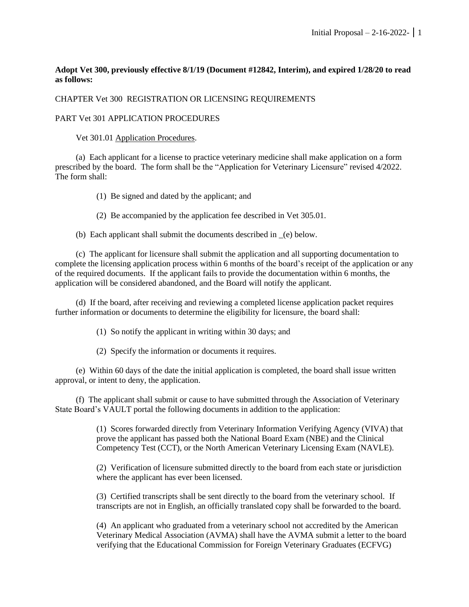## **Adopt Vet 300, previously effective 8/1/19 (Document #12842, Interim), and expired 1/28/20 to read as follows:**

## CHAPTER Vet 300 REGISTRATION OR LICENSING REQUIREMENTS

## PART Vet 301 APPLICATION PROCEDURES

Vet 301.01 Application Procedures.

(a) Each applicant for a license to practice veterinary medicine shall make application on a form prescribed by the board. The form shall be the "Application for Veterinary Licensure" revised 4/2022. The form shall:

(1) Be signed and dated by the applicant; and

(2) Be accompanied by the application fee described in Vet 305.01.

(b) Each applicant shall submit the documents described in \_(e) below.

(c) The applicant for licensure shall submit the application and all supporting documentation to complete the licensing application process within 6 months of the board's receipt of the application or any of the required documents. If the applicant fails to provide the documentation within 6 months, the application will be considered abandoned, and the Board will notify the applicant.

(d) If the board, after receiving and reviewing a completed license application packet requires further information or documents to determine the eligibility for licensure, the board shall:

(1) So notify the applicant in writing within 30 days; and

(2) Specify the information or documents it requires.

(e) Within 60 days of the date the initial application is completed, the board shall issue written approval, or intent to deny, the application.

(f) The applicant shall submit or cause to have submitted through the Association of Veterinary State Board's VAULT portal the following documents in addition to the application:

> (1) Scores forwarded directly from Veterinary Information Verifying Agency (VIVA) that prove the applicant has passed both the National Board Exam (NBE) and the Clinical Competency Test (CCT), or the North American Veterinary Licensing Exam (NAVLE).

> (2) Verification of licensure submitted directly to the board from each state or jurisdiction where the applicant has ever been licensed.

> (3) Certified transcripts shall be sent directly to the board from the veterinary school. If transcripts are not in English, an officially translated copy shall be forwarded to the board.

(4) An applicant who graduated from a veterinary school not accredited by the American Veterinary Medical Association (AVMA) shall have the AVMA submit a letter to the board verifying that the Educational Commission for Foreign Veterinary Graduates (ECFVG)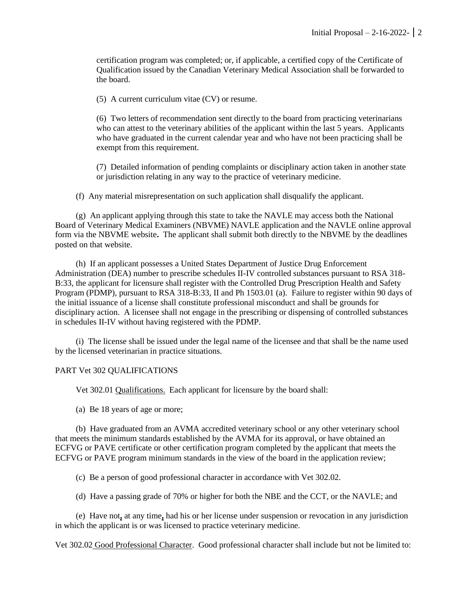certification program was completed; or, if applicable, a certified copy of the Certificate of Qualification issued by the Canadian Veterinary Medical Association shall be forwarded to the board.

(5) A current curriculum vitae (CV) or resume.

(6) Two letters of recommendation sent directly to the board from practicing veterinarians who can attest to the veterinary abilities of the applicant within the last 5 years. Applicants who have graduated in the current calendar year and who have not been practicing shall be exempt from this requirement.

(7) Detailed information of pending complaints or disciplinary action taken in another state or jurisdiction relating in any way to the practice of veterinary medicine.

(f) Any material misrepresentation on such application shall disqualify the applicant.

(g) An applicant applying through this state to take the NAVLE may access both the National Board of Veterinary Medical Examiners (NBVME) NAVLE application and the NAVLE online approval form via the NBVME website**.** The applicant shall submit both directly to the NBVME by the deadlines posted on that website.

(h) If an applicant possesses a United States Department of Justice Drug Enforcement Administration (DEA) number to prescribe schedules II-IV controlled substances pursuant to RSA 318- B:33, the applicant for licensure shall register with the Controlled Drug Prescription Health and Safety Program (PDMP), pursuant to RSA 318-B:33, II and Ph 1503.01 (a). Failure to register within 90 days of the initial issuance of a license shall constitute professional misconduct and shall be grounds for disciplinary action. A licensee shall not engage in the prescribing or dispensing of controlled substances in schedules II-IV without having registered with the PDMP.

(i) The license shall be issued under the legal name of the licensee and that shall be the name used by the licensed veterinarian in practice situations.

### PART Vet 302 QUALIFICATIONS

Vet 302.01 Qualifications. Each applicant for licensure by the board shall:

(a) Be 18 years of age or more;

(b) Have graduated from an AVMA accredited veterinary school or any other veterinary school that meets the minimum standards established by the AVMA for its approval, or have obtained an ECFVG or PAVE certificate or other certification program completed by the applicant that meets the ECFVG or PAVE program minimum standards in the view of the board in the application review;

(c) Be a person of good professional character in accordance with Vet 302.02.

(d) Have a passing grade of 70% or higher for both the NBE and the CCT, or the NAVLE; and

(e) Have not**,** at any time**,** had his or her license under suspension or revocation in any jurisdiction in which the applicant is or was licensed to practice veterinary medicine.

Vet 302.02 Good Professional Character. Good professional character shall include but not be limited to: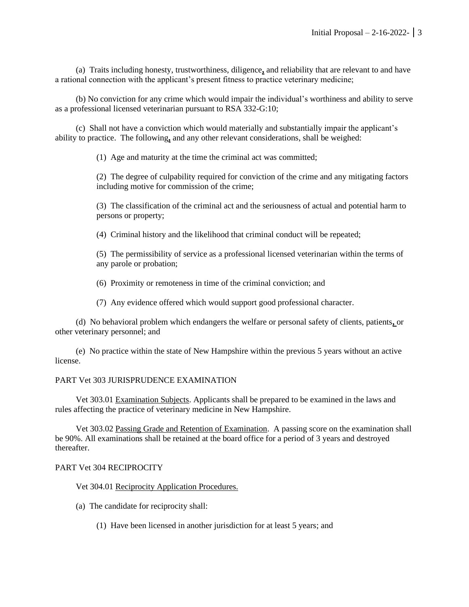(a) Traits including honesty, trustworthiness, diligence**,** and reliability that are relevant to and have a rational connection with the applicant's present fitness to practice veterinary medicine;

(b) No conviction for any crime which would impair the individual's worthiness and ability to serve as a professional licensed veterinarian pursuant to RSA 332-G:10;

(c) Shall not have a conviction which would materially and substantially impair the applicant's ability to practice. The following**,** and any other relevant considerations, shall be weighed:

(1) Age and maturity at the time the criminal act was committed;

(2) The degree of culpability required for conviction of the crime and any mitigating factors including motive for commission of the crime;

(3) The classification of the criminal act and the seriousness of actual and potential harm to persons or property;

(4) Criminal history and the likelihood that criminal conduct will be repeated;

(5) The permissibility of service as a professional licensed veterinarian within the terms of any parole or probation;

(6) Proximity or remoteness in time of the criminal conviction; and

(7) Any evidence offered which would support good professional character.

(d) No behavioral problem which endangers the welfare or personal safety of clients, patients**,** or other veterinary personnel; and

(e) No practice within the state of New Hampshire within the previous 5 years without an active license.

## PART Vet 303 JURISPRUDENCE EXAMINATION

Vet 303.01 Examination Subjects. Applicants shall be prepared to be examined in the laws and rules affecting the practice of veterinary medicine in New Hampshire.

Vet 303.02 Passing Grade and Retention of Examination. A passing score on the examination shall be 90%. All examinations shall be retained at the board office for a period of 3 years and destroyed thereafter.

### PART Vet 304 RECIPROCITY

Vet 304.01 Reciprocity Application Procedures.

(a) The candidate for reciprocity shall:

(1) Have been licensed in another jurisdiction for at least 5 years; and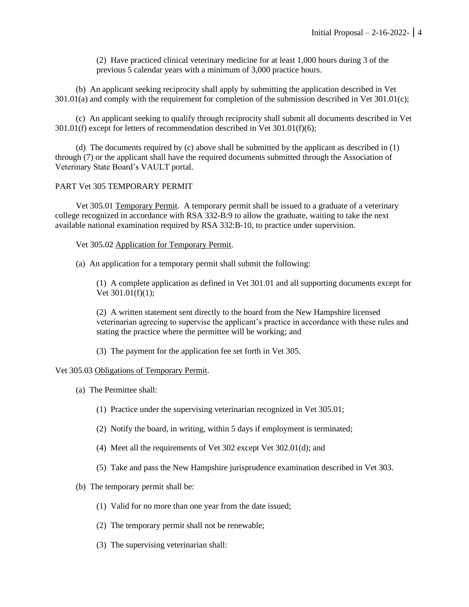(2) Have practiced clinical veterinary medicine for at least 1,000 hours during 3 of the previous 5 calendar years with a minimum of 3,000 practice hours.

(b) An applicant seeking reciprocity shall apply by submitting the application described in Vet 301.01(a) and comply with the requirement for completion of the submission described in Vet 301.01(c);

(c) An applicant seeking to qualify through reciprocity shall submit all documents described in Vet 301.01(f) except for letters of recommendation described in Vet 301.01(f)(6);

(d) The documents required by (c) above shall be submitted by the applicant as described in (1) through (7) or the applicant shall have the required documents submitted through the Association of Veterinary State Board's VAULT portal.

### PART Vet 305 TEMPORARY PERMIT

Vet 305.01 Temporary Permit. A temporary permit shall be issued to a graduate of a veterinary college recognized in accordance with RSA 332-B:9 to allow the graduate, waiting to take the next available national examination required by RSA 332:B-10, to practice under supervision.

Vet 305.02 Application for Temporary Permit.

(a) An application for a temporary permit shall submit the following:

(1) A complete application as defined in Vet 301.01 and all supporting documents except for Vet 301.01(f)(1);

(2) A written statement sent directly to the board from the New Hampshire licensed veterinarian agreeing to supervise the applicant's practice in accordance with these rules and stating the practice where the permittee will be working; and

(3) The payment for the application fee set forth in Vet 305.

#### Vet 305.03 Obligations of Temporary Permit.

- (a) The Permittee shall:
	- (1) Practice under the supervising veterinarian recognized in Vet 305.01;
	- (2) Notify the board, in writing, within 5 days if employment is terminated;
	- (4) Meet all the requirements of Vet 302 except Vet 302.01(d); and
	- (5) Take and pass the New Hampshire jurisprudence examination described in Vet 303.
- (b) The temporary permit shall be:
	- (1) Valid for no more than one year from the date issued;
	- (2) The temporary permit shall not be renewable;
	- (3) The supervising veterinarian shall: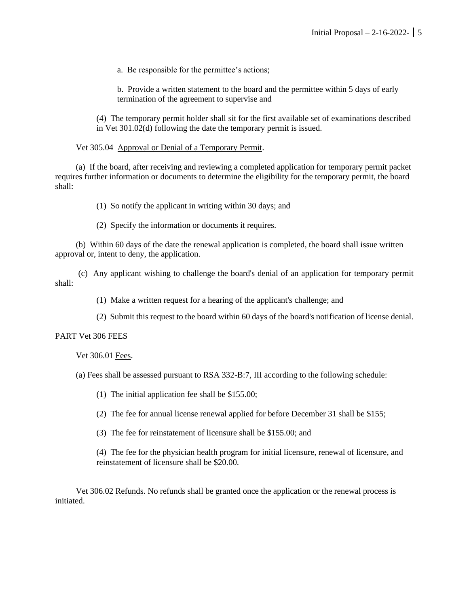a. Be responsible for the permittee's actions;

b. Provide a written statement to the board and the permittee within 5 days of early termination of the agreement to supervise and

(4) The temporary permit holder shall sit for the first available set of examinations described in Vet 301.02(d) following the date the temporary permit is issued.

Vet 305.04 Approval or Denial of a Temporary Permit.

(a) If the board, after receiving and reviewing a completed application for temporary permit packet requires further information or documents to determine the eligibility for the temporary permit, the board shall:

(1) So notify the applicant in writing within 30 days; and

(2) Specify the information or documents it requires.

(b) Within 60 days of the date the renewal application is completed, the board shall issue written approval or, intent to deny, the application.

(c) Any applicant wishing to challenge the board's denial of an application for temporary permit shall:

(1) Make a written request for a hearing of the applicant's challenge; and

(2) Submit this request to the board within 60 days of the board's notification of license denial.

#### PART Vet 306 FEES

Vet 306.01 Fees.

(a) Fees shall be assessed pursuant to RSA 332-B:7, III according to the following schedule:

(1) The initial application fee shall be \$155.00;

(2) The fee for annual license renewal applied for before December 31 shall be \$155;

(3) The fee for reinstatement of licensure shall be \$155.00; and

(4) The fee for the physician health program for initial licensure, renewal of licensure, and reinstatement of licensure shall be \$20.00.

Vet 306.02 Refunds. No refunds shall be granted once the application or the renewal process is initiated.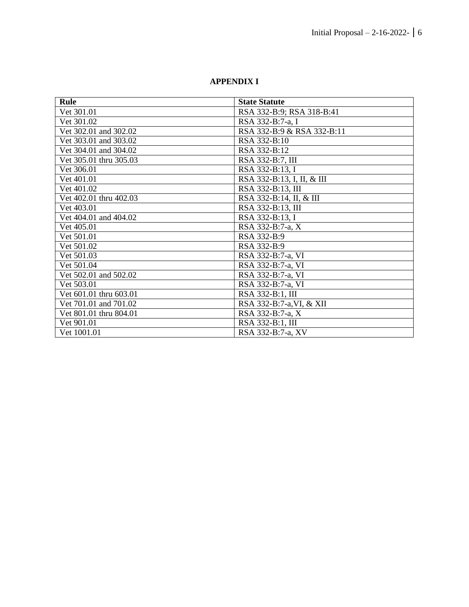# **APPENDIX I**

| Rule                   | <b>State Statute</b>       |
|------------------------|----------------------------|
| Vet 301.01             | RSA 332-B:9; RSA 318-B:41  |
| Vet 301.02             | RSA 332-B:7-a, I           |
| Vet 302.01 and 302.02  | RSA 332-B:9 & RSA 332-B:11 |
| Vet 303.01 and 303.02  | RSA 332-B:10               |
| Vet 304.01 and 304.02  | RSA 332-B:12               |
| Vet 305.01 thru 305.03 | RSA 332-B:7, III           |
| Vet 306.01             | RSA 332-B:13, I            |
| Vet 401.01             | RSA 332-B:13, I, II, & III |
| Vet 401.02             | RSA 332-B:13, III          |
| Vet 402.01 thru 402.03 | RSA 332-B:14, II, & III    |
| Vet 403.01             | RSA 332-B:13, III          |
| Vet 404.01 and 404.02  | RSA 332-B:13, I            |
| Vet 405.01             | RSA 332-B:7-a, X           |
| Vet 501.01             | RSA 332-B:9                |
| Vet 501.02             | RSA 332-B:9                |
| Vet 501.03             | RSA 332-B:7-a, VI          |
| Vet 501.04             | RSA 332-B:7-a, VI          |
| Vet 502.01 and 502.02  | RSA 332-B:7-a, VI          |
| Vet 503.01             | RSA 332-B:7-a, VI          |
| Vet 601.01 thru 603.01 | RSA 332-B:1, III           |
| Vet 701.01 and 701.02  | RSA 332-B:7-a, VI, & XII   |
| Vet 801.01 thru 804.01 | RSA 332-B:7-a, X           |
| Vet 901.01             | RSA 332-B:1, III           |
| Vet 1001.01            | RSA 332-B:7-a, XV          |